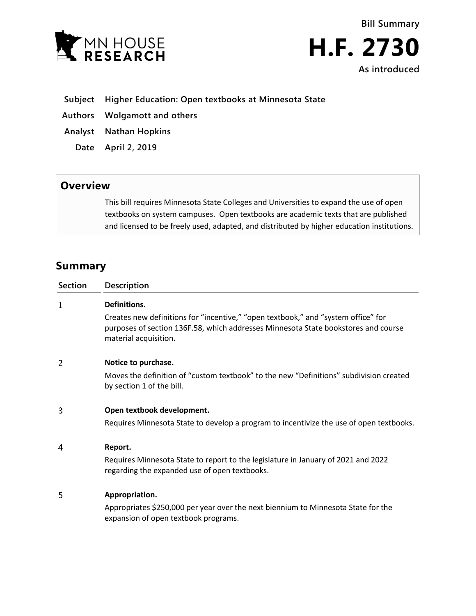



- **Subject Higher Education: Open textbooks at Minnesota State**
- **Authors Wolgamott and others**
- **Analyst Nathan Hopkins**
	- **Date April 2, 2019**

## **Overview**

This bill requires Minnesota State Colleges and Universities to expand the use of open textbooks on system campuses. Open textbooks are academic texts that are published and licensed to be freely used, adapted, and distributed by higher education institutions.

## **Summary**

| <b>Section</b> | Description                                                                                                                                                                                                      |
|----------------|------------------------------------------------------------------------------------------------------------------------------------------------------------------------------------------------------------------|
| 1              | Definitions.<br>Creates new definitions for "incentive," "open textbook," and "system office" for<br>purposes of section 136F.58, which addresses Minnesota State bookstores and course<br>material acquisition. |
| 2              | Notice to purchase.<br>Moves the definition of "custom textbook" to the new "Definitions" subdivision created<br>by section 1 of the bill.                                                                       |
| 3              | Open textbook development.<br>Requires Minnesota State to develop a program to incentivize the use of open textbooks.                                                                                            |
| 4              | Report.<br>Requires Minnesota State to report to the legislature in January of 2021 and 2022<br>regarding the expanded use of open textbooks.                                                                    |
| 5              | Appropriation.<br>Appropriates \$250,000 per year over the next biennium to Minnesota State for the<br>expansion of open textbook programs.                                                                      |